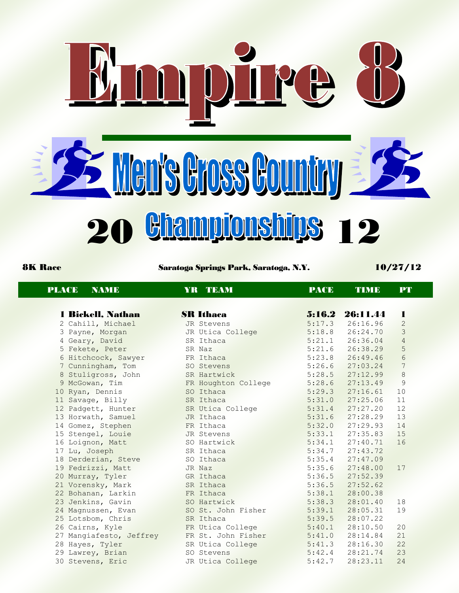

8K Race Saratoga Springs Park, Saratoga, N.Y. 10/27/12

| <b>PLACE</b><br><b>NAME</b> | YR TEAM             | <b>PACE</b> | <b>TIME</b>     | PT             |  |
|-----------------------------|---------------------|-------------|-----------------|----------------|--|
| 1 Bickell, Nathan           | <b>SR Ithaca</b>    |             | 5:16.2 26:11.44 | 1              |  |
| 2 Cahill, Michael           | JR Stevens          | 5:17.3      | 26:16.96        | 2              |  |
| 3 Payne, Morgan             | JR Utica College    | 5:18.8      | 26:24.70        | $\mathcal{S}$  |  |
| 4 Geary, David              | SR Ithaca           | 5:21.1      | 26:36.04        | $\overline{4}$ |  |
| 5 Fekete, Peter             | SR Naz              | 5:21.6      | 26:38.29        | 5              |  |
| 6 Hitchcock, Sawyer         | FR Ithaca           | 5:23.8      | 26:49.46        | $\sqrt{6}$     |  |
| 7 Cunningham, Tom           | SO Stevens          | 5:26.6      | 27:03.24        | $\overline{7}$ |  |
| 8 Stuligross, John          | SR Hartwick         | 5:28.5      | 27:12.99        | $\,8\,$        |  |
| 9 McGowan, Tim              | FR Houghton College | 5:28.6      | 27:13.49        | $\mathcal{G}$  |  |
| 10 Ryan, Dennis             | SO Ithaca           | 5:29.3      | 27:16.61        | 10             |  |
| 11 Savage, Billy            | SR Ithaca           | 5:31.0      | 27:25.06        | 11             |  |
| 12 Padgett, Hunter          | SR Utica College    | 5:31.4      | 27:27.20        | 12             |  |
|                             | JR Ithaca           | 5:31.6      | 27:28.29        | 13             |  |
| 13 Horwath, Samuel          | FR Ithaca           |             |                 | 14             |  |
| 14 Gomez, Stephen           |                     | 5:32.0      | 27:29.93        |                |  |
| 15 Stengel, Louie           | JR Stevens          | 5:33.1      | 27:35.83        | 15             |  |
| 16 Loignon, Matt            | SO Hartwick         | 5:34.1      | 27:40.71        | 16             |  |
| 17 Lu, Joseph               | SR Ithaca           | 5:34.7      | 27:43.72        |                |  |
| 18 Derderian, Steve         | SO Ithaca           | 5:35.4      | 27:47.09        |                |  |
| 19 Fedrizzi, Matt           | JR Naz              | 5:35.6      | 27:48.00        | 17             |  |
| 20 Murray, Tyler            | GR Ithaca           | 5:36.5      | 27:52.39        |                |  |
| 21 Vorensky, Mark           | SR Ithaca           | 5:36.5      | 27:52.62        |                |  |
| 22 Bohanan, Larkin          | FR Ithaca           | 5:38.1      | 28:00.38        |                |  |
| 23 Jenkins, Gavin           | SO Hartwick         | 5:38.3      | 28:01.40        | 18             |  |
| 24 Magnussen, Evan          | SO St. John Fisher  | 5:39.1      | 28:05.31        | 19             |  |
| 25 Lotsbom, Chris           | SR Ithaca           | 5:39.5      | 28:07.22        |                |  |
| 26 Cairns, Kyle             | FR Utica College    | 5:40.1      | 28:10.50        | 20             |  |
| 27 Mangiafesto, Jeffrey     | FR St. John Fisher  | 5:41.0      | 28:14.84        | 21             |  |
| 28 Hayes, Tyler             | SR Utica College    | 5:41.3      | 28:16.30        | 22             |  |
| 29 Lawrey, Brian            | SO Stevens          | 5:42.4      | 28:21.74        | 23             |  |

30 Stevens, Eric JR Utica College 5:42.7 28:23.11 24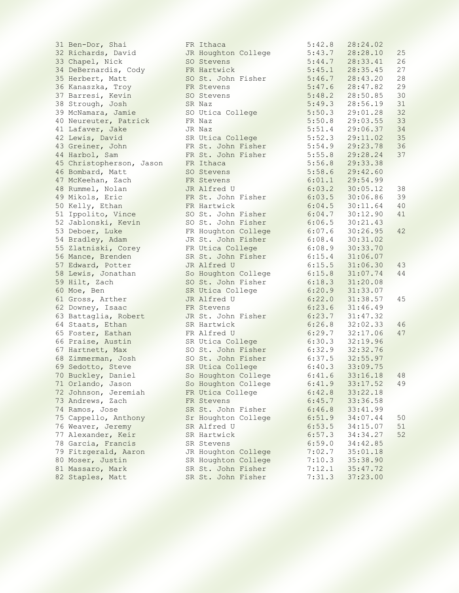31 Ben-Dor, Shai 32 Richards, David 33 Chapel, Nick 34 DeBernardis, Cody 35 Herbert, Matt 36 Kanaszka, Troy 37 Barresi, Kevin 38 Strough, Josh 39 McNamara, Jamie 40 Neureuter, Patrick 41 Lafaver, Jake 42 Lewis, David 43 Greiner, John 44 Harbol, Sam 45 Christopherson, Jason 46 Bombard, Matt 47 McKeehan, Zach 48 Rummel, Nolan 49 Mikols, Eric 50 Kelly, Ethan 51 Ippolito, Vince 52 Jablonski, Kevin 53 Deboer, Luke 54 Bradley, Adam 55 Zlatniski, Corey 56 Mance, Brenden 57 Edward, Potter 58 Lewis, Jonathan 59 Hilt, Zach 60 Moe, Ben 61 Gross, Arther 62 Downey, Isaac 63 Battaglia, Robert 64 Staats, Ethan 65 Foster, Eathan 66 Praise, Austin 67 Hartnett, Max 68 Zimmerman, Josh 69 Sedotto, Steve 70 Buckley, Daniel 71 Orlando, Jason 72 Johnson, Jeremiah 73 Andrews, Zach 74 Ramos, Jose 75 Cappello, Anthony 76 Weaver, Jeremy 77 Alexander, Keir 78 Garcia, Francis 79 Fitzgerald, Aaron 80 Moser, Justin 81 Massaro, Mark 82 Staples, Matt

|               | FR Ithaca                                 |         | 5                |
|---------------|-------------------------------------------|---------|------------------|
|               | JR Houghton College                       |         | 5                |
|               | SO Stevens                                |         |                  |
|               | FR Hartwick                               |         | $\frac{5}{5}$    |
|               | SO St. John Fisher                        |         | 5                |
|               | FR Stevens                                |         | 5                |
|               | SO Stevens                                |         |                  |
|               | SR Naz                                    |         |                  |
|               | SO Utica College                          |         | 5<br>5<br>5<br>5 |
|               | FR Naz                                    |         |                  |
|               | JR Naz                                    |         | $\frac{5}{5}$    |
|               | SR Utica College                          |         |                  |
|               |                                           |         | $\frac{5}{5}$    |
|               | FR St. John Fisher                        |         |                  |
|               | FR St. John Fisher                        |         | 5                |
|               | FR Ithaca                                 |         | 5                |
|               | SO Stevens                                |         | 5                |
|               | FR Stevens                                |         | 6                |
|               | JR Alfred U                               |         | $\sqrt{6}$       |
|               | FR St. John Fisher                        |         | $\sqrt{6}$       |
|               | FR Hartwick                               |         | $\sqrt{6}$       |
|               | SO St. John Fisher                        |         | $\sqrt{6}$       |
| SO            | St. John Fisher                           |         | $\sqrt{6}$       |
|               | FR Houghton College                       |         | 6                |
|               | JR St. John Fisher                        |         | 6                |
|               | FR Utica College                          |         | 6                |
|               | SR St. John Fisher                        |         | 6                |
|               | JR Alfred U                               |         | 6                |
|               |                                           |         | 6                |
|               | So Houghton College<br>SO St. John Fisher |         | 6                |
|               | SR Utica College                          |         | 6                |
|               | JR Alfred U                               |         | $\sqrt{6}$       |
|               | FR Stevens                                |         | $\sqrt{6}$       |
|               | JR St. John Fisher                        |         | $6\phantom{.}6$  |
|               | SR Hartwick                               |         | $\sqrt{6}$       |
|               | FR Alfred U                               |         | $\sqrt{6}$       |
|               |                                           |         | 6                |
|               | SR Utica College<br>SO St. John Fisher    |         | 6                |
|               | SO St. John Fisher                        |         | 6                |
|               | SR Utica College                          |         | 6                |
|               |                                           |         | 6                |
|               | So Houghton College                       |         |                  |
| $\mathsf{So}$ | Houghton College                          |         | 6<br>6           |
| FR            | Utica College                             |         |                  |
| FR            | Stevens                                   |         | 6                |
| SR            | St. John                                  | Fisher  | 6                |
| Sr            | Houghton                                  | College | 6                |
| SR            | Alfred U                                  |         | 6                |
| SR            | Hartwick                                  |         | 6                |
| SR            | Stevens                                   |         | $\sqrt{6}$       |
| JR            | Houghton                                  | College | 7                |
| SR            | Houghton                                  | College | 7                |
| SR            | St. John                                  | Fisher  | 7                |
| SR            | St. John                                  | Fisher  | 7                |
|               |                                           |         |                  |

| 5<br>42<br>8<br>$\ddot{\cdot}$                                | 28:24.02                                                                                |                                         |
|---------------------------------------------------------------|-----------------------------------------------------------------------------------------|-----------------------------------------|
| 5:43<br>5:43<br>5:44<br>5:45<br>5:46<br>7                     | $\ddot{\phantom{a}}$<br>28:28<br>10                                                     | 25                                      |
| 7                                                             | $\ddot{\phantom{0}}$<br>28:33<br>41                                                     | 26                                      |
| $\mathbf{1}$                                                  | : 35<br>$\ddot{\cdot}$<br>28<br>45                                                      | 27                                      |
| 7                                                             | 28<br>43<br>$\ddot{\phantom{0}}$<br>20<br>$\colon$                                      | 28                                      |
| 5:47<br>6<br>$\ddot{\phantom{0}}$                             | 28<br>$\vdots$<br>82<br>47<br>$\ddot{\phantom{0}}$                                      | 2 <sup>0</sup>                          |
| 5:48<br>$\overline{c}$<br>$\ddot{\phantom{0}}$                | 28<br>50<br>85<br>$\vdots$<br>$\ddot{\phantom{0}}$                                      | 3 <sup>1</sup>                          |
| 5:49<br>3<br>$\ddot{\phantom{0}}$                             | 28<br>56<br>19<br>$\vdots$                                                              | 31                                      |
| 5:<br>50<br>3                                                 | 29:<br>01<br>28                                                                         | 32                                      |
| 5:<br>50<br>8                                                 | 29:03<br>55                                                                             | 3 <sup>2</sup>                          |
| $\ddot{\cdot}$<br>$\vdots$<br>$\overline{4}$                  | $\ddot{\phantom{0}}$<br>29:06<br>37                                                     | $\begin{array}{c} 34 \\ 35 \end{array}$ |
| $\ddot{\phantom{0}}$<br>3                                     | 29:11<br>$\ddot{\phantom{0}}$<br>02                                                     |                                         |
| 9                                                             | 29:<br>23<br>78                                                                         | 36                                      |
| 51<br>52<br>54<br>55<br>8                                     | 29:<br>28<br>24                                                                         | 37                                      |
| 5:<br>56<br>8                                                 | 29:<br>33<br>38                                                                         |                                         |
| 5:<br>58<br>6                                                 | 29:42<br>60<br>$\ddot{\phantom{0}}$                                                     |                                         |
| 6:01<br>$\mathbf 1$                                           | 29:<br>54<br>99<br>$\ddot{\phantom{0}}$                                                 |                                         |
| 6<br>:03<br>$\overline{c}$                                    | 30:<br>0 <sub>5</sub><br>12<br>$\ddot{\phantom{0}}$                                     | 38                                      |
| $\ddot{\cdot}$<br>: 03<br>6<br>5                              | 30:06<br>86                                                                             | 3 <sup>o</sup>                          |
| : 04<br>6<br>5                                                | $\ddot{\phantom{0}}$<br>$30:11$<br>$30:12$<br>64                                        | 4 <sup>C</sup>                          |
| : 04<br>6<br>7                                                | $\ddot{\phantom{0}}$<br>90                                                              | 41                                      |
| $\ddot{\cdot}$<br>6<br>:06<br>5                               | 30:21<br>$\ddot{\phantom{0}}$<br>43                                                     |                                         |
| 6<br>$\ddot{\phantom{0}}$<br>6<br>:07                         | 30<br>: 26<br>$\ddot{\cdot}$<br>95                                                      | 42                                      |
| 6<br>:08<br>$\overline{4}$<br>$\ddot{\phantom{0}}$            | 30<br>:31<br>02<br>$\ddot{\phantom{0}}$                                                 |                                         |
| 6<br>:08<br>9                                                 | 30<br>:33<br>70<br>$\ddot{\phantom{0}}$                                                 |                                         |
| 6<br>$\vdots$<br>15<br>$\overline{4}$<br>$\ddot{\phantom{0}}$ | 31<br>:06<br>07<br>$\ddot{\phantom{0}}$                                                 |                                         |
| 6<br>15<br>5                                                  | 31<br>$\vdots$<br>06<br>30                                                              | 4 <sup>5</sup>                          |
| $\vdots$<br>15<br>6<br>8<br>3                                 | 31<br>: 07<br>74<br>$\ddot{\cdot}$<br>: 20<br>08                                        | 4 <sub>4</sub>                          |
| :18<br>6<br>: 20<br>$\ddot{\phantom{0}}$<br>6<br>9            | $\begin{array}{c} 31 \\ 31 \end{array}$<br>33<br>$\ddot{\phantom{0}}$<br>$\vdots$<br>07 |                                         |
| : 22<br>6<br>$\overline{0}$                                   | 31<br>38<br>$\vdots$<br>57                                                              | 45                                      |
| 23<br>6<br>$\frac{1}{2}$<br>6                                 | 31<br>46<br>49<br>$\vdots$                                                              |                                         |
| $\vdots$<br>6<br>23<br>7                                      | 3<br>$\mathbf{1}$<br>$\ddot{\cdot}$<br>47<br>32                                         |                                         |
| 6<br>$\vdots$<br>26<br>8                                      | 32<br>$\vdots$<br>02<br>33                                                              | 46                                      |
| 6<br>:29<br>7                                                 | 32<br>$\vdots$<br>17<br>06<br>$\ddot{\phantom{0}}$                                      | 47                                      |
| 6<br>$\vdots$<br>30<br>3                                      | 32<br>19<br>96<br>$\vdots$                                                              |                                         |
| $\vdots$<br>6<br>32<br>9                                      | $\ddot{\cdot}$<br>32<br>32<br>76                                                        |                                         |
| : 37<br>$\ddot{\phantom{0}}$<br>6<br>5                        | 32:55<br>33:09<br>97                                                                    |                                         |
| 3<br>6<br>:40                                                 | 75                                                                                      |                                         |
| 6:41<br>6                                                     | 33:16.<br>18                                                                            | 48                                      |
| 6:41<br>9                                                     | 17<br>33:<br>52                                                                         | 4 <sup>c</sup>                          |
| 6:42<br>8<br>$\ddot{\phantom{0}}$                             | 33:<br>22<br>18<br>$\ddot{\phantom{0}}$                                                 |                                         |
| 6<br>:45<br>7<br>$\ddot{\phantom{0}}$                         | 33:<br>36.<br>58                                                                        |                                         |
| 6<br>:46<br>8                                                 | 33:41<br>99                                                                             |                                         |
| 51<br>9<br>6<br>$\vdots$                                      | 34:07<br>44                                                                             | 50                                      |
| 53<br>6<br>$\vdots$<br>5                                      | 15<br>34:<br>07                                                                         | 51                                      |
| 57<br>6<br>$\vdots$<br>3                                      | 34<br>34:<br>27                                                                         | 52                                      |
| :59<br>6<br>$\overline{O}$                                    | 34:42<br>85                                                                             |                                         |
| : 02<br>7<br>7                                                | 35<br>01<br>$\ddot{\phantom{a}}$<br>18                                                  |                                         |
| 10<br>3<br>7<br>$\vdots$<br>:12<br>$1\,$<br>7                 | 35:<br>38<br>90<br>35:47<br>72                                                          |                                         |
| 7:31<br>3                                                     | 37:23.00                                                                                |                                         |
|                                                               |                                                                                         |                                         |